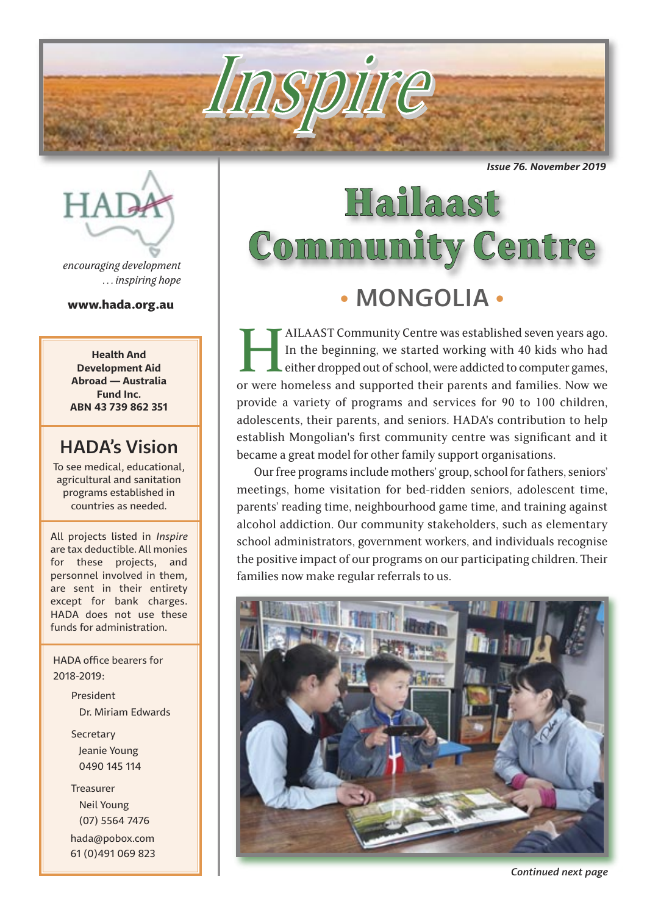*Issue 76. November 2019*

# **Hailaast<br>Community Centre** • MONGOLIA •

Inspire

AILAAST Community Centre was established seven years ago.<br>In the beginning, we started working with 40 kids who had<br>either dropped out of school, were addicted to computer games,<br>or were homeless and supported their parent In the beginning, we started working with 40 kids who had either dropped out of school, were addicted to computer games,

or were homeless and supported their parents and families. Now we provide a variety of programs and services for 90 to 100 children, adolescents, their parents, and seniors. HADA's contribution to help establish Mongolian's first community centre was significant and it became a great model for other family support organisations.

Our free programs include mothers' group, school for fathers, seniors' meetings, home visitation for bed-ridden seniors, adolescent time, parents' reading time, neighbourhood game time, and training against alcohol addiction. Our community stakeholders, such as elementary school administrators, government workers, and individuals recognise the positive impact of our programs on our participating children. Their families now make regular referrals to us.



**HAT** 

*encouraging development . . . inspiring hope*

www.hada.org.au

**Health And Development Aid Abroad — Australia Fund Inc. ABN 43 739 862 351**

## HADA's Vision

To see medical, educational, agricultural and sanitation programs established in countries as needed.

All projects listed in *Inspire* are tax deductible. All monies for these projects, and personnel involved in them, are sent in their entirety except for bank charges. HADA does not use these funds for administration.

 HADA office bearers for 2018-2019:

> President Dr. Miriam Edwards **Secretary**  Jeanie Young 0490 145 114

 Treasurer Neil Young (07) 5564 7476 hada@pobox.com 61 (0)491 069 823

*Continued next page*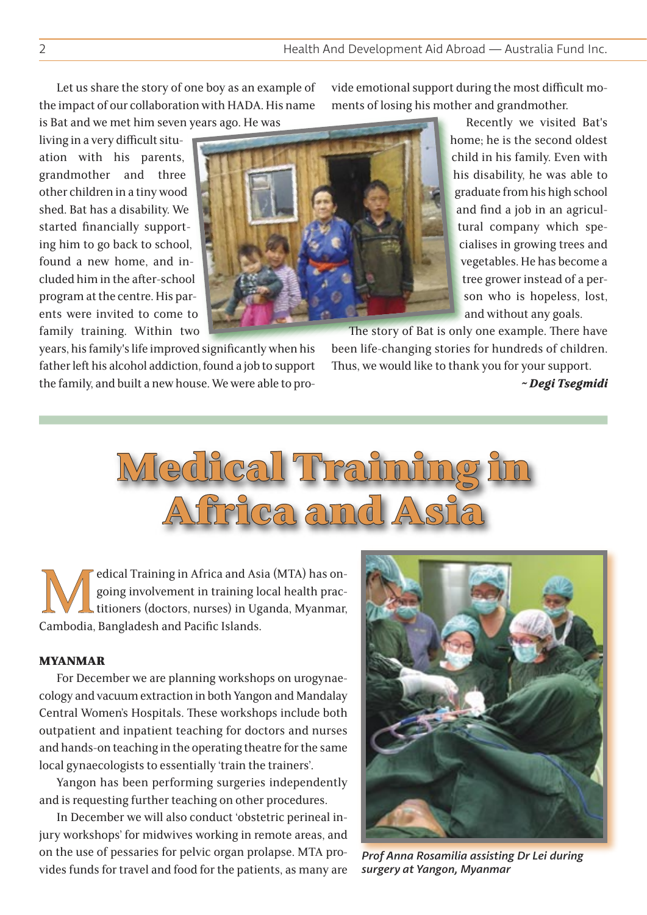Let us share the story of one boy as an example of the impact of our collaboration with HADA. His name is Bat and we met him seven years ago. He was

living in a very difficult situation with his parents, grandmother and three other children in a tiny wood shed. Bat has a disability. We started financially supporting him to go back to school, found a new home, and included him in the after-school program at the centre. His parents were invited to come to family training. Within two

years, his family's life improved significantly when his father left his alcohol addiction, found a job to support the family, and built a new house. We were able to provide emotional support during the most difficult moments of losing his mother and grandmother.

> Recently we visited Bat's home; he is the second oldest child in his family. Even with his disability, he was able to graduate from his high school and find a job in an agricultural company which specialises in growing trees and vegetables. He has become a tree grower instead of a person who is hopeless, lost, and without any goals.

The story of Bat is only one example. There have been life-changing stories for hundreds of children. Thus, we would like to thank you for your support.

*~ Degi Tsegmidi*



Edical Training in Africa and Asia (MTA) has on-<br>going involvement in training local health prac-<br>titioners (doctors, nurses) in Uganda, Myanmar,<br>Cambodia. Bangladesh and Pacific Islands. going involvement in training local health practitioners (doctors, nurses) in Uganda, Myanmar, Cambodia, Bangladesh and Pacific Islands.

#### MYANMAR

For December we are planning workshops on urogynaecology and vacuum extraction in both Yangon and Mandalay Central Women's Hospitals. These workshops include both outpatient and inpatient teaching for doctors and nurses and hands-on teaching in the operating theatre for the same local gynaecologists to essentially 'train the trainers'.

Yangon has been performing surgeries independently and is requesting further teaching on other procedures.

In December we will also conduct 'obstetric perineal injury workshops' for midwives working in remote areas, and on the use of pessaries for pelvic organ prolapse. MTA provides funds for travel and food for the patients, as many are



*Prof Anna Rosamilia assisting Dr Lei during surgery at Yangon, Myanmar*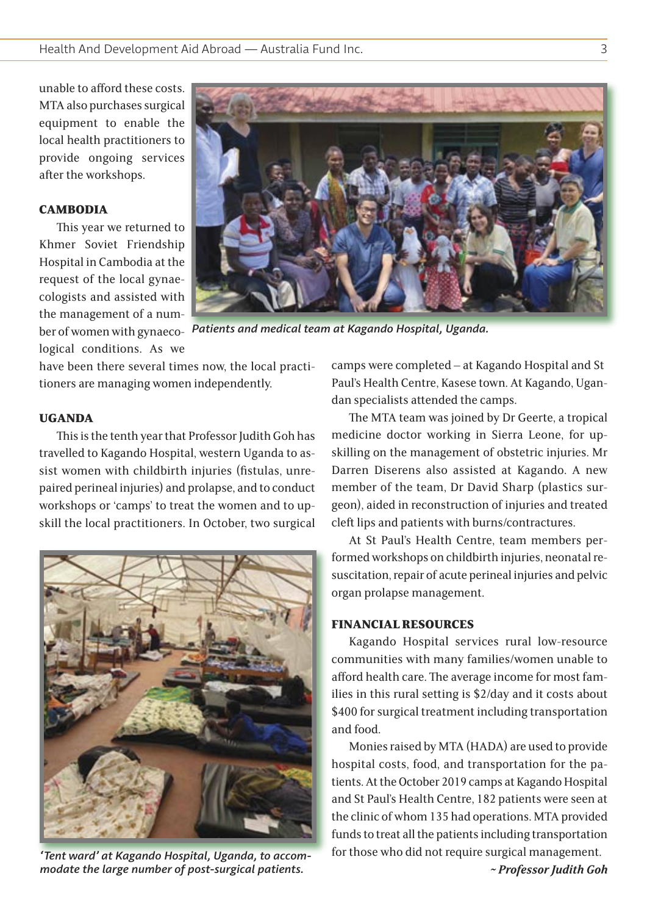unable to afford these costs. MTA also purchases surgical equipment to enable the local health practitioners to provide ongoing services after the workshops.

#### **CAMBODIA**

This year we returned to Khmer Soviet Friendship Hospital in Cambodia at the request of the local gynaecologists and assisted with the management of a number of women with gynaecological conditions. As we



*Patients and medical team at Kagando Hospital, Uganda.*

have been there several times now, the local practitioners are managing women independently.

#### UGANDA

This is the tenth year that Professor Judith Goh has travelled to Kagando Hospital, western Uganda to assist women with childbirth injuries (fistulas, unrepaired perineal injuries) and prolapse, and to conduct workshops or 'camps' to treat the women and to upskill the local practitioners. In October, two surgical



*'Tent ward' at Kagando Hospital, Uganda, to accommodate the large number of post-surgical patients.*

camps were completed – at Kagando Hospital and St Paul's Health Centre, Kasese town. At Kagando, Ugandan specialists attended the camps.

The MTA team was joined by Dr Geerte, a tropical medicine doctor working in Sierra Leone, for upskilling on the management of obstetric injuries. Mr Darren Diserens also assisted at Kagando. A new member of the team, Dr David Sharp (plastics surgeon), aided in reconstruction of injuries and treated cleft lips and patients with burns/contractures.

At St Paul's Health Centre, team members performed workshops on childbirth injuries, neonatal resuscitation, repair of acute perineal injuries and pelvic organ prolapse management.

#### FINANCIAL RESOURCES

Kagando Hospital services rural low-resource communities with many families/women unable to afford health care. The average income for most families in this rural setting is \$2/day and it costs about \$400 for surgical treatment including transportation and food.

Monies raised by MTA (HADA) are used to provide hospital costs, food, and transportation for the patients. At the October 2019 camps at Kagando Hospital and St Paul's Health Centre, 182 patients were seen at the clinic of whom 135 had operations. MTA provided funds to treat all the patients including transportation for those who did not require surgical management.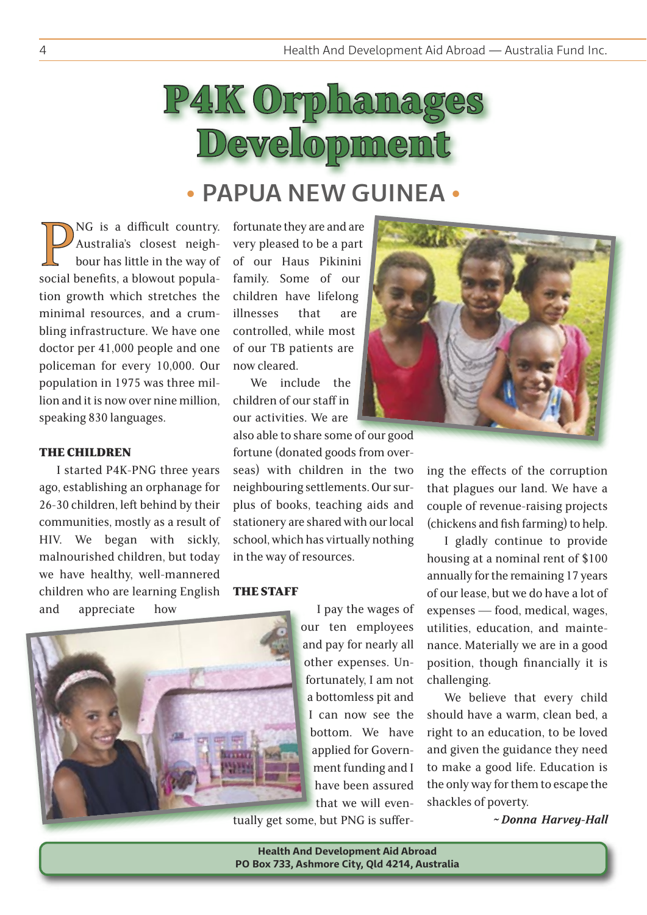

# • PAPUA NEW GUINEA •

**PNG** is a difficult country.<br>
Australia's closest neigh-<br>
bour has little in the way of<br>
social benefits, a blowout popula-Australia's closest neighbour has little in the way of tion growth which stretches the minimal resources, and a crumbling infrastructure. We have one doctor per 41,000 people and one policeman for every 10,000. Our population in 1975 was three million and it is now over nine million, speaking 830 languages.

#### THE CHILDREN

I started P4K-PNG three years ago, establishing an orphanage for 26-30 children, left behind by their communities, mostly as a result of HIV. We began with sickly, malnourished children, but today we have healthy, well-mannered children who are learning English and appreciate how

fortunate they are and are very pleased to be a part of our Haus Pikinini family. Some of our children have lifelong illnesses that are controlled, while most of our TB patients are now cleared.

We include the children of our staff in our activities. We are

also able to share some of our good

fortune (donated goods from overseas) with children in the two neighbouring settlements. Our surplus of books, teaching aids and stationery are shared with our local school, which has virtually nothing in the way of resources.

#### THE STAFF

I pay the wages of our ten employees and pay for nearly all other expenses. Unfortunately, I am not a bottomless pit and I can now see the bottom. We have applied for Government funding and I have been assured that we will even-

tually get some, but PNG is suffer-



ing the effects of the corruption that plagues our land. We have a couple of revenue-raising projects (chickens and fish farming) to help.

I gladly continue to provide housing at a nominal rent of \$100 annually for the remaining 17 years of our lease, but we do have a lot of expenses — food, medical, wages, utilities, education, and maintenance. Materially we are in a good position, though financially it is challenging.

We believe that every child should have a warm, clean bed, a right to an education, to be loved and given the guidance they need to make a good life. Education is the only way for them to escape the shackles of poverty.

*~ Donna Harvey-Hall*

**Health And Development Aid Abroad PO Box 733, Ashmore City, Qld 4214, Australia**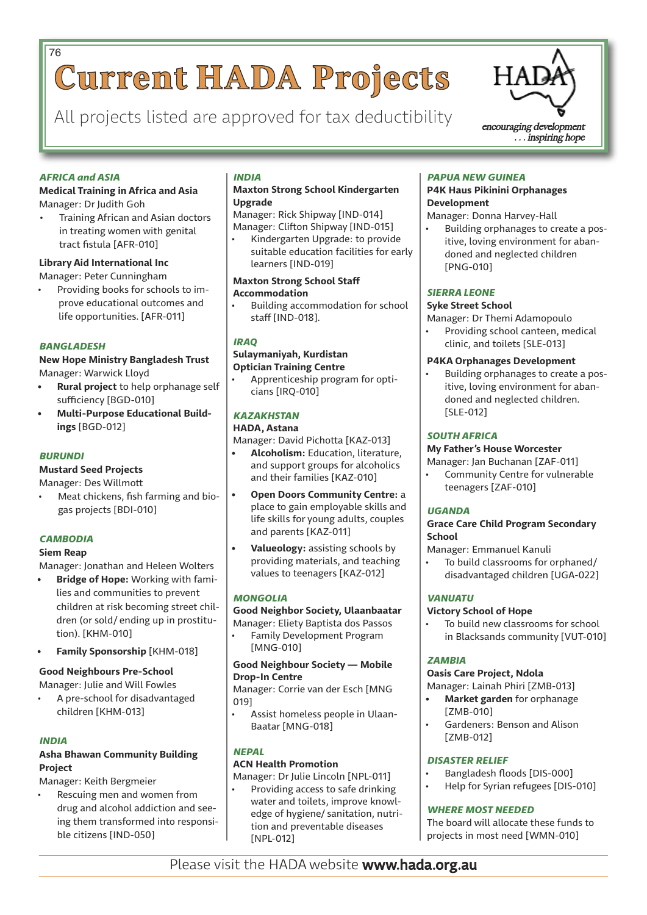# **Current HADA Projects** 76

All projects listed are approved for tax deductibility  $\sum_{\text{encouraging development}}$ 



*AFRICA and ASIA*

#### **Medical Training in Africa and Asia** Manager: Dr Judith Goh

• Training African and Asian doctors in treating women with genital tract fistula [AFR-010]

#### **Library Aid International Inc**

Manager: Peter Cunningham

• Providing books for schools to improve educational outcomes and life opportunities. [AFR-011]

#### *BANGLADESH*

#### **New Hope Ministry Bangladesh Trust** Manager: Warwick Lloyd

- **• Rural project** to help orphanage self sufficiency [BGD-010]
- **• Multi-Purpose Educational Buildings** [BGD-012]

#### *BURUNDI*

#### **Mustard Seed Projects**

Manager: Des Willmott

• Meat chickens, fish farming and biogas projects [BDI-010]

#### *CAMBODIA*

#### **Siem Reap**

Manager: Jonathan and Heleen Wolters

- **• Bridge of Hope:** Working with families and communities to prevent children at risk becoming street children (or sold/ ending up in prostitution). [KHM-010]
- **• Family Sponsorship** [KHM-018]

#### **Good Neighbours Pre-School**

Manager: Julie and Will Fowles

• A pre-school for disadvantaged children [KHM-013]

#### *INDIA*

#### **Asha Bhawan Community Building Project**

Manager: Keith Bergmeier

• Rescuing men and women from drug and alcohol addiction and seeing them transformed into responsible citizens [IND-050]

#### *INDIA*

#### **Maxton Strong School Kindergarten Upgrade**

Manager: Rick Shipway [IND-014] Manager: Clifton Shipway [IND-015]

• Kindergarten Upgrade: to provide suitable education facilities for early learners [IND-019]

#### **Maxton Strong School Staff Accommodation**

• Building accommodation for school staff [IND-018].

#### *IRAQ*

#### **Sulaymaniyah, Kurdistan Optician Training Centre**

• Apprenticeship program for opticians [IRQ-010]

#### *KAZAKHSTAN*

#### **HADA, Astana**

Manager: David Pichotta [KAZ-013]

- **• Alcoholism:** Education, literature, and support groups for alcoholics and their families [KAZ-010]
- **• Open Doors Community Centre:** a place to gain employable skills and life skills for young adults, couples and parents [KAZ-011]
- **• Valueology:** assisting schools by providing materials, and teaching values to teenagers [KAZ-012]

#### *MONGOLIA*

#### **Good Neighbor Society, Ulaanbaatar**

Manager: Eliety Baptista dos Passos • Family Development Program [MNG-010]

#### **Good Neighbour Society — Mobile Drop-In Centre**

Manager: Corrie van der Esch [MNG 019]

• Assist homeless people in Ulaan-Baatar [MNG-018]

#### *NEPAL*

#### **ACN Health Promotion**

Manager: Dr Julie Lincoln [NPL-011]

Providing access to safe drinking water and toilets, improve knowledge of hygiene/ sanitation, nutrition and preventable diseases [NPL-012]

#### *PAPUA NEW GUINEA*

#### **P4K Haus Pikinini Orphanages Development**

Manager: Donna Harvey-Hall

• Building orphanages to create a positive, loving environment for abandoned and neglected children [PNG-010]

#### *SIERRA LEONE*

#### **Syke Street School**

Manager: Dr Themi Adamopoulo

Providing school canteen, medical clinic, and toilets [SLE-013]

#### **P4KA Orphanages Development**

• Building orphanages to create a positive, loving environment for abandoned and neglected children. [SLE-012]

#### *SOUTH AFRICA*

#### **My Father's House Worcester**

Manager: Jan Buchanan [ZAF-011]

• Community Centre for vulnerable teenagers [ZAF-010]

#### *UGANDA*

#### **Grace Care Child Program Secondary School**

Manager: Emmanuel Kanuli

• To build classrooms for orphaned/ disadvantaged children [UGA-022]

#### *VANUATU*

#### **Victory School of Hope**

To build new classrooms for school in Blacksands community [VUT-010]

#### *ZAMBIA*

#### **Oasis Care Project, Ndola**

Manager: Lainah Phiri [ZMB-013]

- **• Market garden** for orphanage [ZMB-010]
- Gardeners: Benson and Alison [ZMB-012]

#### *DISASTER RELIEF*

- Bangladesh floods [DIS-000]
- Help for Syrian refugees [DIS-010]

#### *WHERE MOST NEEDED*

The board will allocate these funds to projects in most need [WMN-010]